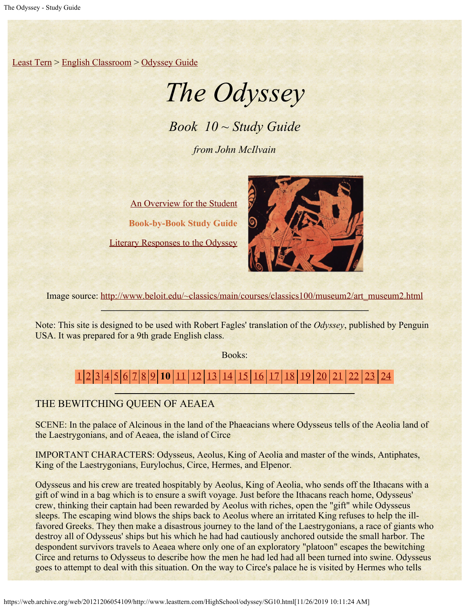[Least Tern](https://web.archive.org/web/20121206054109/http://www.leasttern.com/index.html) > [English Classroom](https://web.archive.org/web/20121206054109/http://www.leasttern.com/Engclass.html) > [Odyssey Guide](https://web.archive.org/web/20121206054109/http://www.leasttern.com/HighSchool/odyssey/Odyssey.html)

# *The Odyssey*

*Book 10 ~ Study Guide*

*from John McIlvain*

[An Overview for the Student](https://web.archive.org/web/20121206054109/http://www.leasttern.com/HighSchool/odyssey/Odyssey1.html) **Book-by-Book Study Guide** [Literary Responses to the Odyssey](https://web.archive.org/web/20121206054109/http://www.leasttern.com/HighSchool/odyssey/Odysseyresponses.html)



Image source: [http://www.beloit.edu/~classics/main/courses/classics100/museum2/art\\_museum2.html](https://web.archive.org/web/20121206054109/http://www.beloit.edu/%7Eclassics/main/courses/classics100/museum2/art_museum2.html)

Note: This site is designed to be used with Robert Fagles' translation of the *Odyssey*, published by Penguin USA. It was prepared for a 9th grade English class.

Books:

# [1](https://web.archive.org/web/20121206054109/http://www.leasttern.com/HighSchool/odyssey/SG1.html) [2](https://web.archive.org/web/20121206054109/http://www.leasttern.com/HighSchool/odyssey/SG2.html) [3](https://web.archive.org/web/20121206054109/http://www.leasttern.com/HighSchool/odyssey/SG3.html) [4](https://web.archive.org/web/20121206054109/http://www.leasttern.com/HighSchool/odyssey/SG4.html) [5](https://web.archive.org/web/20121206054109/http://www.leasttern.com/HighSchool/odyssey/SG5.html) [6](https://web.archive.org/web/20121206054109/http://www.leasttern.com/HighSchool/odyssey/SG6.html) [7](https://web.archive.org/web/20121206054109/http://www.leasttern.com/HighSchool/odyssey/SG7.html) [8](https://web.archive.org/web/20121206054109/http://www.leasttern.com/HighSchool/odyssey/SG8.html) [9](https://web.archive.org/web/20121206054109/http://www.leasttern.com/HighSchool/odyssey/SG9.html) **10** [11](https://web.archive.org/web/20121206054109/http://www.leasttern.com/HighSchool/odyssey/SG11.html) [12](https://web.archive.org/web/20121206054109/http://www.leasttern.com/HighSchool/odyssey/SG12.html) [13](https://web.archive.org/web/20121206054109/http://www.leasttern.com/HighSchool/odyssey/SG13.html) [14](https://web.archive.org/web/20121206054109/http://www.leasttern.com/HighSchool/odyssey/SG14.html) [15](https://web.archive.org/web/20121206054109/http://www.leasttern.com/HighSchool/odyssey/SG15.html) [16](https://web.archive.org/web/20121206054109/http://www.leasttern.com/HighSchool/odyssey/SG16.html) [17](https://web.archive.org/web/20121206054109/http://www.leasttern.com/HighSchool/odyssey/SG17.html) [18](https://web.archive.org/web/20121206054109/http://www.leasttern.com/HighSchool/odyssey/SG18.html) [19](https://web.archive.org/web/20121206054109/http://www.leasttern.com/HighSchool/odyssey/SG19.html) [20](https://web.archive.org/web/20121206054109/http://www.leasttern.com/HighSchool/odyssey/SG20.html) [21](https://web.archive.org/web/20121206054109/http://www.leasttern.com/HighSchool/odyssey/SG21.html) [22](https://web.archive.org/web/20121206054109/http://www.leasttern.com/HighSchool/odyssey/SG22.html) [23](https://web.archive.org/web/20121206054109/http://www.leasttern.com/HighSchool/odyssey/SG23.html) [24](https://web.archive.org/web/20121206054109/http://www.leasttern.com/HighSchool/odyssey/SG24.html)

## THE BEWITCHING QUEEN OF AEAEA

SCENE: In the palace of Alcinous in the land of the Phaeacians where Odysseus tells of the Aeolia land of the Laestrygonians, and of Aeaea, the island of Circe

IMPORTANT CHARACTERS: Odysseus, Aeolus, King of Aeolia and master of the winds, Antiphates, King of the Laestrygonians, Eurylochus, Circe, Hermes, and Elpenor.

Odysseus and his crew are treated hospitably by Aeolus, King of Aeolia, who sends off the Ithacans with a gift of wind in a bag which is to ensure a swift voyage. Just before the Ithacans reach home, Odysseus' crew, thinking their captain had been rewarded by Aeolus with riches, open the "gift" while Odysseus sleeps. The escaping wind blows the ships back to Aeolus where an irritated King refuses to help the illfavored Greeks. They then make a disastrous journey to the land of the Laestrygonians, a race of giants who destroy all of Odysseus' ships but his which he had had cautiously anchored outside the small harbor. The despondent survivors travels to Aeaea where only one of an exploratory "platoon" escapes the bewitching Circe and returns to Odysseus to describe how the men he had led had all been turned into swine. Odysseus goes to attempt to deal with this situation. On the way to Circe's palace he is visited by Hermes who tells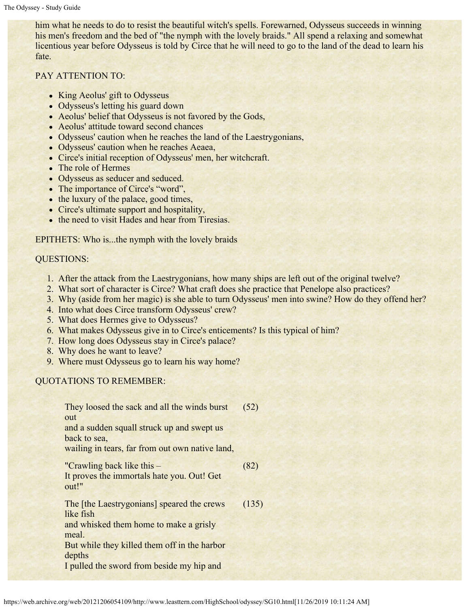him what he needs to do to resist the beautiful witch's spells. Forewarned, Odysseus succeeds in winning his men's freedom and the bed of "the nymph with the lovely braids." All spend a relaxing and somewhat licentious year before Odysseus is told by Circe that he will need to go to the land of the dead to learn his fate.

### PAY ATTENTION TO:

- King Aeolus' gift to Odysseus
- Odysseus's letting his guard down
- Aeolus' belief that Odysseus is not favored by the Gods,
- Aeolus' attitude toward second chances
- Odysseus' caution when he reaches the land of the Laestrygonians,
- Odysseus' caution when he reaches Aeaea,
- Circe's initial reception of Odysseus' men, her witchcraft.
- The role of Hermes
- Odysseus as seducer and seduced.
- The importance of Circe's "word",
- the luxury of the palace, good times,
- Circe's ultimate support and hospitality,
- the need to visit Hades and hear from Tiresias.

#### EPITHETS: Who is...the nymph with the lovely braids

#### QUESTIONS:

- 1. After the attack from the Laestrygonians, how many ships are left out of the original twelve?
- 2. What sort of character is Circe? What craft does she practice that Penelope also practices?
- 3. Why (aside from her magic) is she able to turn Odysseus' men into swine? How do they offend her?
- 4. Into what does Circe transform Odysseus' crew?
- 5. What does Hermes give to Odysseus?
- 6. What makes Odysseus give in to Circe's enticements? Is this typical of him?
- 7. How long does Odysseus stay in Circe's palace?
- 8. Why does he want to leave?
- 9. Where must Odysseus go to learn his way home?

#### QUOTATIONS TO REMEMBER:

They loosed the sack and all the winds burst out and a sudden squall struck up and swept us back to sea, wailing in tears, far from out own native land, (52) "Crawling back like this – It proves the immortals hate you. Out! Get out!" (82) The [the Laestrygonians] speared the crews like fish and whisked them home to make a grisly meal. But while they killed them off in the harbor depths I pulled the sword from beside my hip and (135)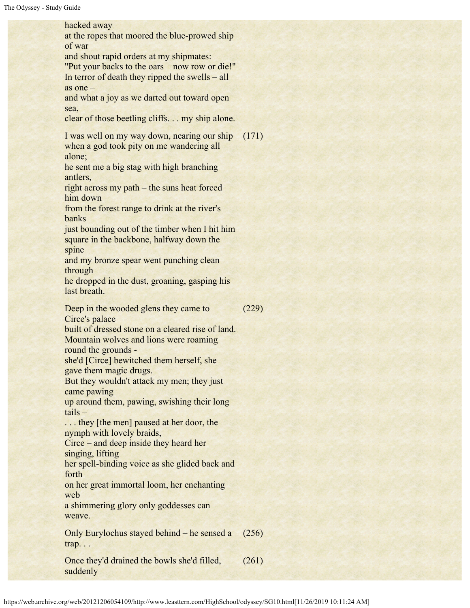hacked away at the ropes that moored the blue-prowed ship of war and shout rapid orders at my shipmates: "Put your backs to the oars – now row or die!" In terror of death they ripped the swells – all as one – and what a joy as we darted out toward open sea, clear of those beetling cliffs. . . my ship alone. I was well on my way down, nearing our ship when a god took pity on me wandering all alone; he sent me a big stag with high branching antlers, right across my path – the suns heat forced him down from the forest range to drink at the river's banks – just bounding out of the timber when I hit him square in the backbone, halfway down the spine and my bronze spear went punching clean through – he dropped in the dust, groaning, gasping his last breath. (171) Deep in the wooded glens they came to Circe's palace built of dressed stone on a cleared rise of land. Mountain wolves and lions were roaming round the grounds she'd [Circe] bewitched them herself, she gave them magic drugs. But they wouldn't attack my men; they just came pawing up around them, pawing, swishing their long tails – ... they [the men] paused at her door, the nymph with lovely braids, Circe – and deep inside they heard her singing, lifting her spell-binding voice as she glided back and forth on her great immortal loom, her enchanting web a shimmering glory only goddesses can weave. (229) Only Eurylochus stayed behind – he sensed a trap. . . (256) Once they'd drained the bowls she'd filled, suddenly (261)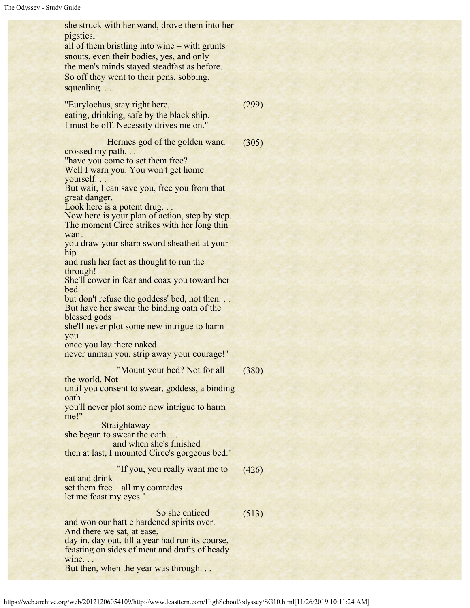| she struck with her wand, drove them into her<br>pigsties,<br>all of them bristling into wine – with grunts<br>snouts, even their bodies, yes, and only<br>the men's minds stayed steadfast as before.<br>So off they went to their pens, sobbing,<br>squealing                                                                                 |       |
|-------------------------------------------------------------------------------------------------------------------------------------------------------------------------------------------------------------------------------------------------------------------------------------------------------------------------------------------------|-------|
| "Eurylochus, stay right here,<br>eating, drinking, safe by the black ship.<br>I must be off. Necessity drives me on."                                                                                                                                                                                                                           | (299) |
| Hermes god of the golden wand<br>crossed my path<br>"have you come to set them free?<br>Well I warn you. You won't get home<br>yourself<br>But wait, I can save you, free you from that<br>great danger.<br>Look here is a potent drug<br>Now here is your plan of action, step by step.<br>The moment Circe strikes with her long thin<br>want | (305) |
| you draw your sharp sword sheathed at your<br>hip<br>and rush her fact as thought to run the<br>through!<br>She'll cower in fear and coax you toward her<br>$bed -$                                                                                                                                                                             |       |
| but don't refuse the goddess' bed, not then<br>But have her swear the binding oath of the<br>blessed gods<br>she'll never plot some new intrigue to harm<br>you<br>once you lay there naked -                                                                                                                                                   |       |
| never unman you, strip away your courage!"<br>"Mount your bed? Not for all                                                                                                                                                                                                                                                                      | (380) |
| the world. Not<br>until you consent to swear, goddess, a binding<br>oath<br>you'll never plot some new intrigue to harm<br>me!"                                                                                                                                                                                                                 |       |
| Straightaway<br>she began to swear the oath<br>and when she's finished<br>then at last, I mounted Circe's gorgeous bed."                                                                                                                                                                                                                        |       |
| "If you, you really want me to<br>eat and drink<br>set them free – all my comrades –<br>let me feast my eyes."                                                                                                                                                                                                                                  | (426) |
| So she enticed<br>and won our battle hardened spirits over.<br>And there we sat, at ease,<br>day in, day out, till a year had run its course,<br>feasting on sides of meat and drafts of heady<br>wine<br>But then, when the year was through                                                                                                   | (513) |
|                                                                                                                                                                                                                                                                                                                                                 |       |